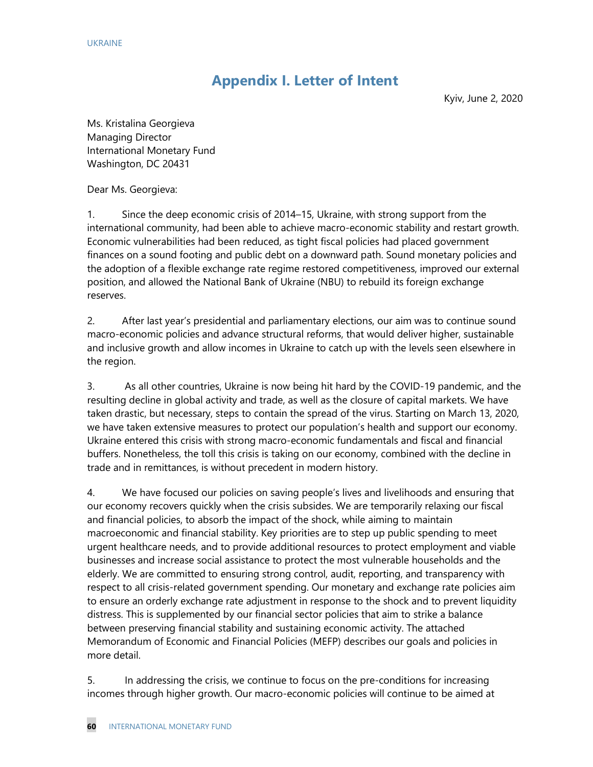# **Appendix I. Letter of Intent**

Kyiv, June 2, 2020

Ms. Kristalina Georgieva Managing Director International Monetary Fund Washington, DC 20431

Dear Ms. Georgieva:

1. Since the deep economic crisis of 2014–15, Ukraine, with strong support from the international community, had been able to achieve macro-economic stability and restart growth. Economic vulnerabilities had been reduced, as tight fiscal policies had placed government finances on a sound footing and public debt on a downward path. Sound monetary policies and the adoption of a flexible exchange rate regime restored competitiveness, improved our external position, and allowed the National Bank of Ukraine (NBU) to rebuild its foreign exchange reserves.

2. After last year's presidential and parliamentary elections, our aim was to continue sound macro-economic policies and advance structural reforms, that would deliver higher, sustainable and inclusive growth and allow incomes in Ukraine to catch up with the levels seen elsewhere in the region.

3. As all other countries, Ukraine is now being hit hard by the COVID-19 pandemic, and the resulting decline in global activity and trade, as well as the closure of capital markets. We have taken drastic, but necessary, steps to contain the spread of the virus. Starting on March 13, 2020, we have taken extensive measures to protect our population's health and support our economy. Ukraine entered this crisis with strong macro-economic fundamentals and fiscal and financial buffers. Nonetheless, the toll this crisis is taking on our economy, combined with the decline in trade and in remittances, is without precedent in modern history.

4. We have focused our policies on saving people's lives and livelihoods and ensuring that our economy recovers quickly when the crisis subsides. We are temporarily relaxing our fiscal and financial policies, to absorb the impact of the shock, while aiming to maintain macroeconomic and financial stability. Key priorities are to step up public spending to meet urgent healthcare needs, and to provide additional resources to protect employment and viable businesses and increase social assistance to protect the most vulnerable households and the elderly. We are committed to ensuring strong control, audit, reporting, and transparency with respect to all crisis-related government spending. Our monetary and exchange rate policies aim to ensure an orderly exchange rate adjustment in response to the shock and to prevent liquidity distress. This is supplemented by our financial sector policies that aim to strike a balance between preserving financial stability and sustaining economic activity. The attached Memorandum of Economic and Financial Policies (MEFP) describes our goals and policies in more detail.

5. In addressing the crisis, we continue to focus on the pre-conditions for increasing incomes through higher growth. Our macro-economic policies will continue to be aimed at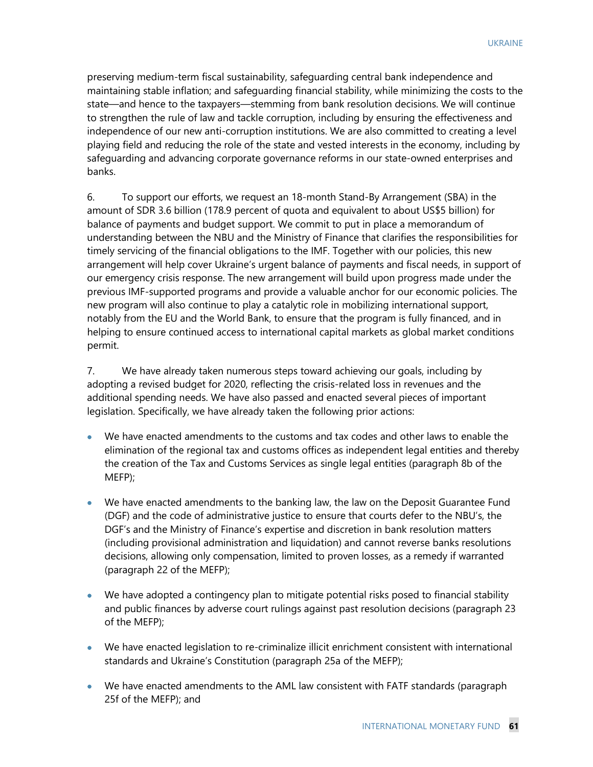preserving medium-term fiscal sustainability, safeguarding central bank independence and maintaining stable inflation; and safeguarding financial stability, while minimizing the costs to the state—and hence to the taxpayers—stemming from bank resolution decisions. We will continue to strengthen the rule of law and tackle corruption, including by ensuring the effectiveness and independence of our new anti-corruption institutions. We are also committed to creating a level playing field and reducing the role of the state and vested interests in the economy, including by safeguarding and advancing corporate governance reforms in our state-owned enterprises and banks.

6. To support our efforts, we request an 18-month Stand-By Arrangement (SBA) in the amount of SDR 3.6 billion (178.9 percent of quota and equivalent to about US\$5 billion) for balance of payments and budget support. We commit to put in place a memorandum of understanding between the NBU and the Ministry of Finance that clarifies the responsibilities for timely servicing of the financial obligations to the IMF. Together with our policies, this new arrangement will help cover Ukraine's urgent balance of payments and fiscal needs, in support of our emergency crisis response. The new arrangement will build upon progress made under the previous IMF-supported programs and provide a valuable anchor for our economic policies. The new program will also continue to play a catalytic role in mobilizing international support, notably from the EU and the World Bank, to ensure that the program is fully financed, and in helping to ensure continued access to international capital markets as global market conditions permit.

7. We have already taken numerous steps toward achieving our goals, including by adopting a revised budget for 2020, reflecting the crisis-related loss in revenues and the additional spending needs. We have also passed and enacted several pieces of important legislation. Specifically, we have already taken the following prior actions:

- We have enacted amendments to the customs and tax codes and other laws to enable the elimination of the regional tax and customs offices as independent legal entities and thereby the creation of the Tax and Customs Services as single legal entities (paragraph 8b of the MEFP);
- We have enacted amendments to the banking law, the law on the Deposit Guarantee Fund (DGF) and the code of administrative justice to ensure that courts defer to the NBU's, the DGF's and the Ministry of Finance's expertise and discretion in bank resolution matters (including provisional administration and liquidation) and cannot reverse banks resolutions decisions, allowing only compensation, limited to proven losses, as a remedy if warranted (paragraph 22 of the MEFP);
- We have adopted a contingency plan to mitigate potential risks posed to financial stability and public finances by adverse court rulings against past resolution decisions (paragraph 23 of the MEFP);
- We have enacted legislation to re-criminalize illicit enrichment consistent with international standards and Ukraine's Constitution (paragraph 25a of the MEFP);
- We have enacted amendments to the AML law consistent with FATF standards (paragraph 25f of the MEFP); and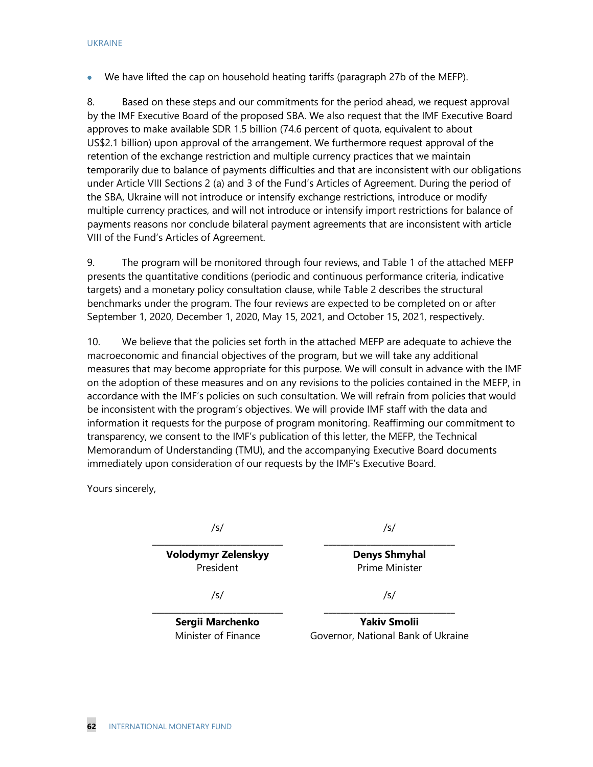• We have lifted the cap on household heating tariffs (paragraph 27b of the MEFP).

8. Based on these steps and our commitments for the period ahead, we request approval by the IMF Executive Board of the proposed SBA. We also request that the IMF Executive Board approves to make available SDR 1.5 billion (74.6 percent of quota, equivalent to about US\$2.1 billion) upon approval of the arrangement. We furthermore request approval of the retention of the exchange restriction and multiple currency practices that we maintain temporarily due to balance of payments difficulties and that are inconsistent with our obligations under Article VIII Sections 2 (a) and 3 of the Fund's Articles of Agreement. During the period of the SBA, Ukraine will not introduce or intensify exchange restrictions, introduce or modify multiple currency practices, and will not introduce or intensify import restrictions for balance of payments reasons nor conclude bilateral payment agreements that are inconsistent with article VIII of the Fund's Articles of Agreement.

9. The program will be monitored through four reviews, and Table 1 of the attached MEFP presents the quantitative conditions (periodic and continuous performance criteria, indicative targets) and a monetary policy consultation clause, while Table 2 describes the structural benchmarks under the program. The four reviews are expected to be completed on or after September 1, 2020, December 1, 2020, May 15, 2021, and October 15, 2021, respectively.

10. We believe that the policies set forth in the attached MEFP are adequate to achieve the macroeconomic and financial objectives of the program, but we will take any additional measures that may become appropriate for this purpose. We will consult in advance with the IMF on the adoption of these measures and on any revisions to the policies contained in the MEFP, in accordance with the IMF's policies on such consultation. We will refrain from policies that would be inconsistent with the program's objectives. We will provide IMF staff with the data and information it requests for the purpose of program monitoring. Reaffirming our commitment to transparency, we consent to the IMF's publication of this letter, the MEFP, the Technical Memorandum of Understanding (TMU), and the accompanying Executive Board documents immediately upon consideration of our requests by the IMF's Executive Board.

Yours sincerely,

/s/ \_\_\_\_\_\_\_\_\_\_\_\_\_\_\_\_\_\_\_\_\_\_\_\_\_\_\_\_\_\_\_

**Volodymyr Zelenskyy** President

/s/ \_\_\_\_\_\_\_\_\_\_\_\_\_\_\_\_\_\_\_\_\_\_\_\_\_\_\_\_\_\_\_

> **Denys Shmyhal** Prime Minister

/s/

\_\_\_\_\_\_\_\_\_\_\_\_\_\_\_\_\_\_\_\_\_\_\_\_\_\_\_\_\_\_\_ **Sergii Marchenko** Minister of Finance

\_\_\_\_\_\_\_\_\_\_\_\_\_\_\_\_\_\_\_\_\_\_\_\_\_\_\_\_\_\_\_ **Yakiv Smolii** Governor, National Bank of Ukraine

/s/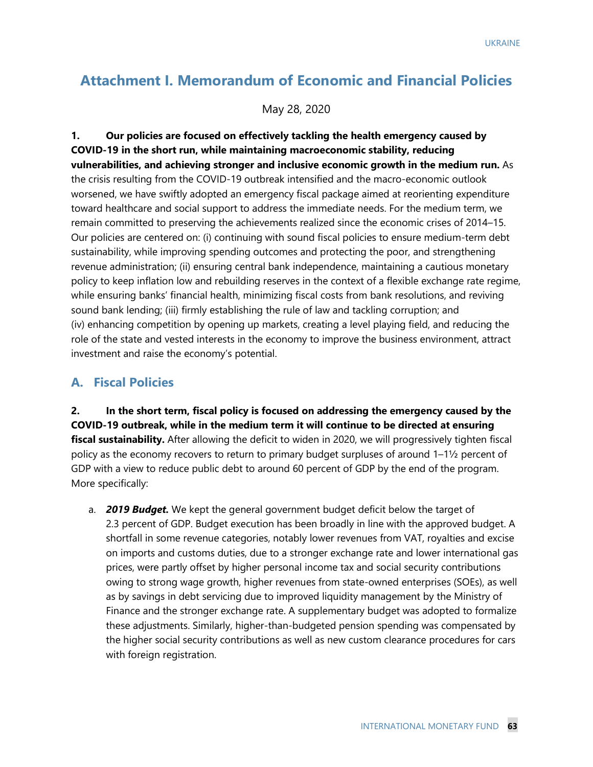# **Attachment I. Memorandum of Economic and Financial Policies**

May 28, 2020

**1. Our policies are focused on effectively tackling the health emergency caused by COVID-19 in the short run, while maintaining macroeconomic stability, reducing vulnerabilities, and achieving stronger and inclusive economic growth in the medium run.** As the crisis resulting from the COVID-19 outbreak intensified and the macro-economic outlook worsened, we have swiftly adopted an emergency fiscal package aimed at reorienting expenditure toward healthcare and social support to address the immediate needs. For the medium term, we remain committed to preserving the achievements realized since the economic crises of 2014–15. Our policies are centered on: (i) continuing with sound fiscal policies to ensure medium-term debt sustainability, while improving spending outcomes and protecting the poor, and strengthening revenue administration; (ii) ensuring central bank independence, maintaining a cautious monetary policy to keep inflation low and rebuilding reserves in the context of a flexible exchange rate regime, while ensuring banks' financial health, minimizing fiscal costs from bank resolutions, and reviving sound bank lending; (iii) firmly establishing the rule of law and tackling corruption; and (iv) enhancing competition by opening up markets, creating a level playing field, and reducing the role of the state and vested interests in the economy to improve the business environment, attract investment and raise the economy's potential.

## **A. Fiscal Policies**

**2. In the short term, fiscal policy is focused on addressing the emergency caused by the COVID-19 outbreak, while in the medium term it will continue to be directed at ensuring fiscal sustainability.** After allowing the deficit to widen in 2020, we will progressively tighten fiscal policy as the economy recovers to return to primary budget surpluses of around 1–1½ percent of GDP with a view to reduce public debt to around 60 percent of GDP by the end of the program. More specifically:

a. *2019 Budget.* We kept the general government budget deficit below the target of 2.3 percent of GDP. Budget execution has been broadly in line with the approved budget. A shortfall in some revenue categories, notably lower revenues from VAT, royalties and excise on imports and customs duties, due to a stronger exchange rate and lower international gas prices, were partly offset by higher personal income tax and social security contributions owing to strong wage growth, higher revenues from state-owned enterprises (SOEs), as well as by savings in debt servicing due to improved liquidity management by the Ministry of Finance and the stronger exchange rate. A supplementary budget was adopted to formalize these adjustments. Similarly, higher-than-budgeted pension spending was compensated by the higher social security contributions as well as new custom clearance procedures for cars with foreign registration.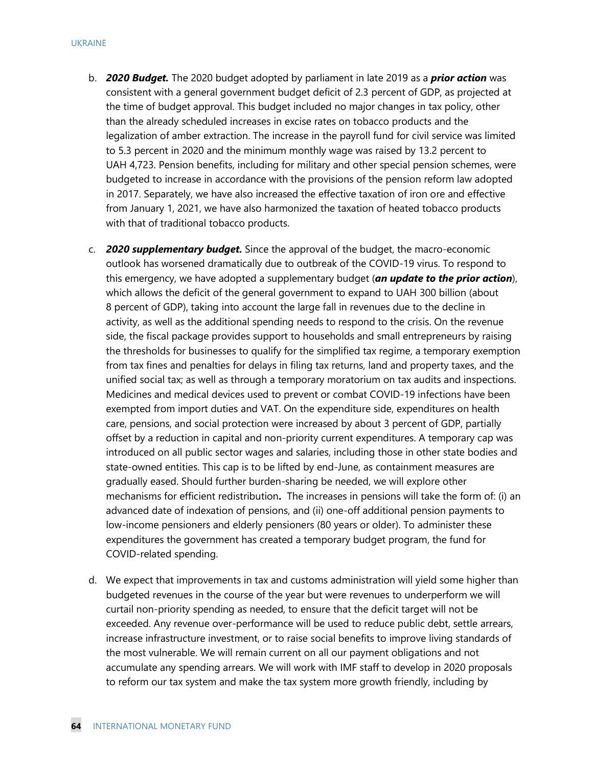- b. *2020 Budget.* The 2020 budget adopted by parliament in late 2019 as a *prior action* was consistent with a general government budget deficit of 2.3 percent of GDP, as projected at the time of budget approval. This budget included no major changes in tax policy, other than the already scheduled increases in excise rates on tobacco products and the legalization of amber extraction. The increase in the payroll fund for civil service was limited to 5.3 percent in 2020 and the minimum monthly wage was raised by 13.2 percent to UAH 4,723. Pension benefits, including for military and other special pension schemes, were budgeted to increase in accordance with the provisions of the pension reform law adopted in 2017. Separately, we have also increased the effective taxation of iron ore and effective from January 1, 2021, we have also harmonized the taxation of heated tobacco products with that of traditional tobacco products.
- c. *2020 supplementary budget.* Since the approval of the budget, the macro-economic outlook has worsened dramatically due to outbreak of the COVID-19 virus. To respond to this emergency, we have adopted a supplementary budget (*an update to the prior action*), which allows the deficit of the general government to expand to UAH 300 billion (about 8 percent of GDP), taking into account the large fall in revenues due to the decline in activity, as well as the additional spending needs to respond to the crisis. On the revenue side, the fiscal package provides support to households and small entrepreneurs by raising the thresholds for businesses to qualify for the simplified tax regime, a temporary exemption from tax fines and penalties for delays in filing tax returns, land and property taxes, and the unified social tax; as well as through a temporary moratorium on tax audits and inspections. Medicines and medical devices used to prevent or combat COVID-19 infections have been exempted from import duties and VAT. On the expenditure side, expenditures on health care, pensions, and social protection were increased by about 3 percent of GDP, partially offset by a reduction in capital and non-priority current expenditures. A temporary cap was introduced on all public sector wages and salaries, including those in other state bodies and state-owned entities. This cap is to be lifted by end-June, as containment measures are gradually eased. Should further burden-sharing be needed, we will explore other mechanisms for efficient redistribution**.** The increases in pensions will take the form of: (i) an advanced date of indexation of pensions, and (ii) one-off additional pension payments to low-income pensioners and elderly pensioners (80 years or older). To administer these expenditures the government has created a temporary budget program, the fund for COVID-related spending.
- d. We expect that improvements in tax and customs administration will yield some higher than budgeted revenues in the course of the year but were revenues to underperform we will curtail non-priority spending as needed, to ensure that the deficit target will not be exceeded. Any revenue over-performance will be used to reduce public debt, settle arrears, increase infrastructure investment, or to raise social benefits to improve living standards of the most vulnerable. We will remain current on all our payment obligations and not accumulate any spending arrears. We will work with IMF staff to develop in 2020 proposals to reform our tax system and make the tax system more growth friendly, including by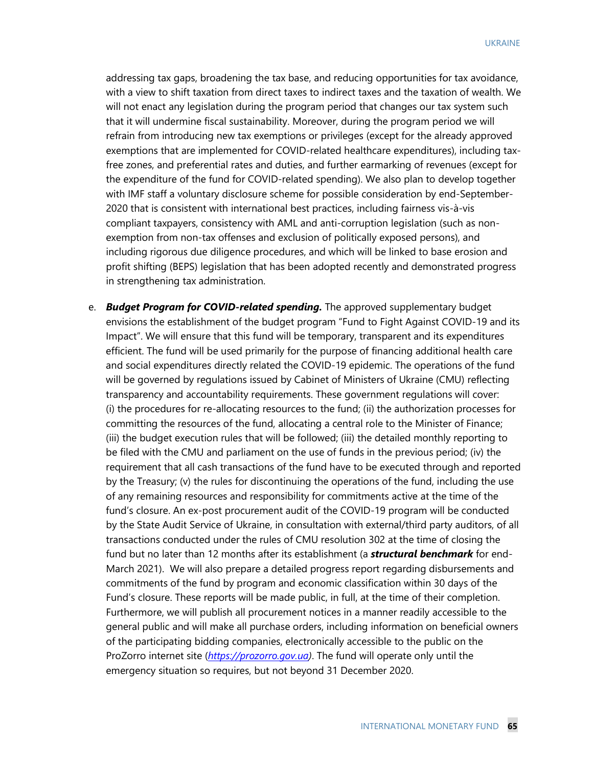addressing tax gaps, broadening the tax base, and reducing opportunities for tax avoidance, with a view to shift taxation from direct taxes to indirect taxes and the taxation of wealth. We will not enact any legislation during the program period that changes our tax system such that it will undermine fiscal sustainability. Moreover, during the program period we will refrain from introducing new tax exemptions or privileges (except for the already approved exemptions that are implemented for COVID-related healthcare expenditures), including taxfree zones, and preferential rates and duties, and further earmarking of revenues (except for the expenditure of the fund for COVID-related spending). We also plan to develop together with IMF staff a voluntary disclosure scheme for possible consideration by end-September-2020 that is consistent with international best practices, including fairness vis-à-vis compliant taxpayers, consistency with AML and anti-corruption legislation (such as nonexemption from non-tax offenses and exclusion of politically exposed persons), and including rigorous due diligence procedures, and which will be linked to base erosion and profit shifting (BEPS) legislation that has been adopted recently and demonstrated progress in strengthening tax administration.

e. *Budget Program for COVID-related spending.* The approved supplementary budget envisions the establishment of the budget program "Fund to Fight Against COVID-19 and its Impact". We will ensure that this fund will be temporary, transparent and its expenditures efficient. The fund will be used primarily for the purpose of financing additional health care and social expenditures directly related the COVID-19 epidemic. The operations of the fund will be governed by regulations issued by Cabinet of Ministers of Ukraine (CMU) reflecting transparency and accountability requirements. These government regulations will cover: (i) the procedures for re-allocating resources to the fund; (ii) the authorization processes for committing the resources of the fund, allocating a central role to the Minister of Finance; (iii) the budget execution rules that will be followed; (iii) the detailed monthly reporting to be filed with the CMU and parliament on the use of funds in the previous period; (iv) the requirement that all cash transactions of the fund have to be executed through and reported by the Treasury; (v) the rules for discontinuing the operations of the fund, including the use of any remaining resources and responsibility for commitments active at the time of the fund's closure. An ex-post procurement audit of the COVID-19 program will be conducted by the State Audit Service of Ukraine, in consultation with external/third party auditors, of all transactions conducted under the rules of CMU resolution 302 at the time of closing the fund but no later than 12 months after its establishment (a *structural benchmark* for end-March 2021). We will also prepare a detailed progress report regarding disbursements and commitments of the fund by program and economic classification within 30 days of the Fund's closure. These reports will be made public, in full, at the time of their completion. Furthermore, we will publish all procurement notices in a manner readily accessible to the general public and will make all purchase orders, including information on beneficial owners of the participating bidding companies, electronically accessible to the public on the ProZorro internet site (*[https://prozorro.gov.ua\)](https://prozorro.gov.ua/)*. The fund will operate only until the emergency situation so requires, but not beyond 31 December 2020.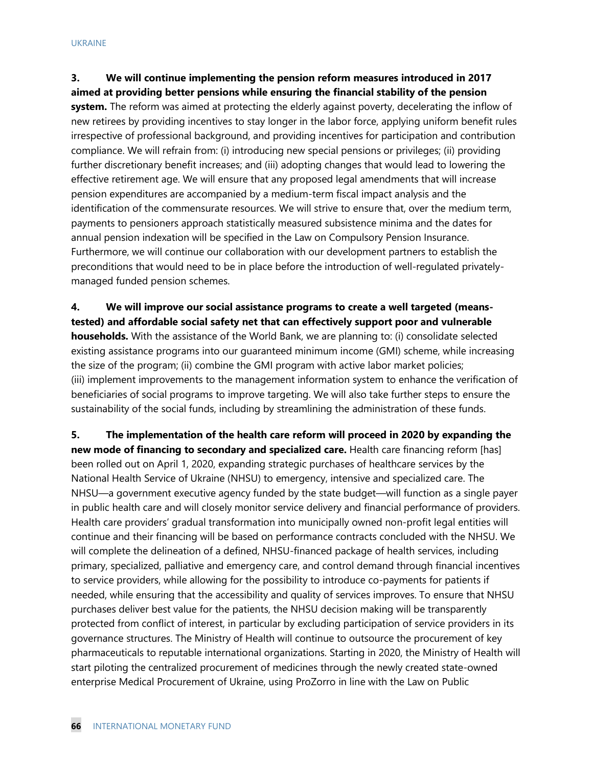**3. We will continue implementing the pension reform measures introduced in 2017 aimed at providing better pensions while ensuring the financial stability of the pension system.** The reform was aimed at protecting the elderly against poverty, decelerating the inflow of new retirees by providing incentives to stay longer in the labor force, applying uniform benefit rules irrespective of professional background, and providing incentives for participation and contribution compliance. We will refrain from: (i) introducing new special pensions or privileges; (ii) providing further discretionary benefit increases; and (iii) adopting changes that would lead to lowering the effective retirement age. We will ensure that any proposed legal amendments that will increase pension expenditures are accompanied by a medium-term fiscal impact analysis and the identification of the commensurate resources. We will strive to ensure that, over the medium term, payments to pensioners approach statistically measured subsistence minima and the dates for annual pension indexation will be specified in the Law on Compulsory Pension Insurance. Furthermore, we will continue our collaboration with our development partners to establish the preconditions that would need to be in place before the introduction of well-regulated privatelymanaged funded pension schemes.

**4. We will improve our social assistance programs to create a well targeted (meanstested) and affordable social safety net that can effectively support poor and vulnerable households.** With the assistance of the World Bank, we are planning to: (i) consolidate selected existing assistance programs into our guaranteed minimum income (GMI) scheme, while increasing the size of the program; (ii) combine the GMI program with active labor market policies; (iii) implement improvements to the management information system to enhance the verification of beneficiaries of social programs to improve targeting. We will also take further steps to ensure the sustainability of the social funds, including by streamlining the administration of these funds.

**5. The implementation of the health care reform will proceed in 2020 by expanding the new mode of financing to secondary and specialized care.** Health care financing reform [has] been rolled out on April 1, 2020, expanding strategic purchases of healthcare services by the National Health Service of Ukraine (NHSU) to emergency, intensive and specialized care. The NHSU—a government executive agency funded by the state budget—will function as a single payer in public health care and will closely monitor service delivery and financial performance of providers. Health care providers' gradual transformation into municipally owned non-profit legal entities will continue and their financing will be based on performance contracts concluded with the NHSU. We will complete the delineation of a defined, NHSU-financed package of health services, including primary, specialized, palliative and emergency care, and control demand through financial incentives to service providers, while allowing for the possibility to introduce co-payments for patients if needed, while ensuring that the accessibility and quality of services improves. To ensure that NHSU purchases deliver best value for the patients, the NHSU decision making will be transparently protected from conflict of interest, in particular by excluding participation of service providers in its governance structures. The Ministry of Health will continue to outsource the procurement of key pharmaceuticals to reputable international organizations. Starting in 2020, the Ministry of Health will start piloting the centralized procurement of medicines through the newly created state-owned enterprise Medical Procurement of Ukraine, using ProZorro in line with the Law on Public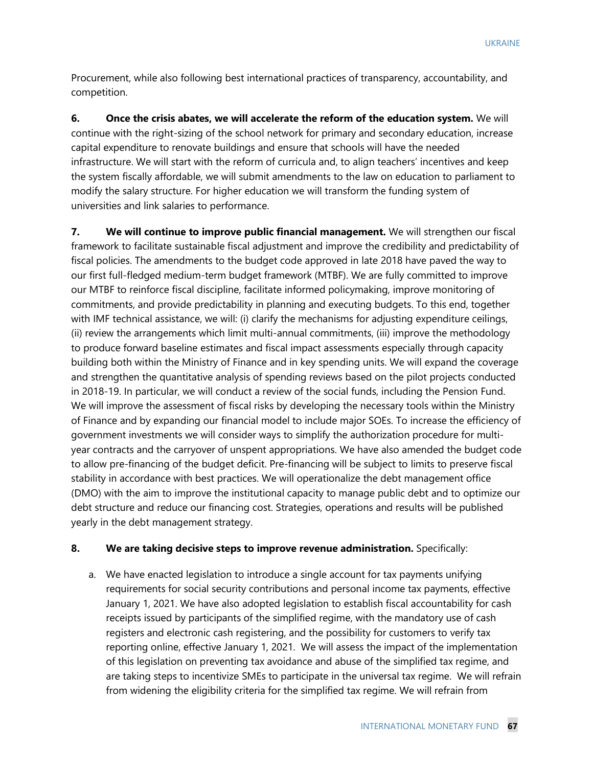Procurement, while also following best international practices of transparency, accountability, and competition.

**6. Once the crisis abates, we will accelerate the reform of the education system.** We will continue with the right-sizing of the school network for primary and secondary education, increase capital expenditure to renovate buildings and ensure that schools will have the needed infrastructure. We will start with the reform of curricula and, to align teachers' incentives and keep the system fiscally affordable, we will submit amendments to the law on education to parliament to modify the salary structure. For higher education we will transform the funding system of universities and link salaries to performance.

**7. We will continue to improve public financial management.** We will strengthen our fiscal framework to facilitate sustainable fiscal adjustment and improve the credibility and predictability of fiscal policies. The amendments to the budget code approved in late 2018 have paved the way to our first full-fledged medium-term budget framework (MTBF). We are fully committed to improve our MTBF to reinforce fiscal discipline, facilitate informed policymaking, improve monitoring of commitments, and provide predictability in planning and executing budgets. To this end, together with IMF technical assistance, we will: (i) clarify the mechanisms for adjusting expenditure ceilings, (ii) review the arrangements which limit multi-annual commitments, (iii) improve the methodology to produce forward baseline estimates and fiscal impact assessments especially through capacity building both within the Ministry of Finance and in key spending units. We will expand the coverage and strengthen the quantitative analysis of spending reviews based on the pilot projects conducted in 2018-19. In particular, we will conduct a review of the social funds, including the Pension Fund. We will improve the assessment of fiscal risks by developing the necessary tools within the Ministry of Finance and by expanding our financial model to include major SOEs. To increase the efficiency of government investments we will consider ways to simplify the authorization procedure for multiyear contracts and the carryover of unspent appropriations. We have also amended the budget code to allow pre-financing of the budget deficit. Pre-financing will be subject to limits to preserve fiscal stability in accordance with best practices. We will operationalize the debt management office (DMO) with the aim to improve the institutional capacity to manage public debt and to optimize our debt structure and reduce our financing cost. Strategies, operations and results will be published yearly in the debt management strategy.

### **8. We are taking decisive steps to improve revenue administration.** Specifically:

a. We have enacted legislation to introduce a single account for tax payments unifying requirements for social security contributions and personal income tax payments, effective January 1, 2021. We have also adopted legislation to establish fiscal accountability for cash receipts issued by participants of the simplified regime, with the mandatory use of cash registers and electronic cash registering, and the possibility for customers to verify tax reporting online, effective January 1, 2021. We will assess the impact of the implementation of this legislation on preventing tax avoidance and abuse of the simplified tax regime, and are taking steps to incentivize SMEs to participate in the universal tax regime. We will refrain from widening the eligibility criteria for the simplified tax regime. We will refrain from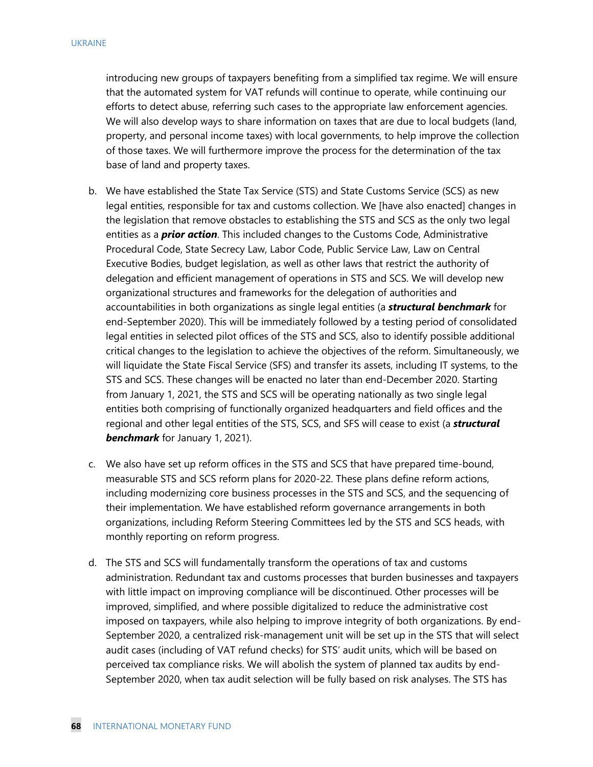introducing new groups of taxpayers benefiting from a simplified tax regime. We will ensure that the automated system for VAT refunds will continue to operate, while continuing our efforts to detect abuse, referring such cases to the appropriate law enforcement agencies. We will also develop ways to share information on taxes that are due to local budgets (land, property, and personal income taxes) with local governments, to help improve the collection of those taxes. We will furthermore improve the process for the determination of the tax base of land and property taxes.

- b. We have established the State Tax Service (STS) and State Customs Service (SCS) as new legal entities, responsible for tax and customs collection. We [have also enacted] changes in the legislation that remove obstacles to establishing the STS and SCS as the only two legal entities as a *prior action*. This included changes to the Customs Code, Administrative Procedural Code, State Secrecy Law, Labor Code, Public Service Law, Law on Central Executive Bodies, budget legislation, as well as other laws that restrict the authority of delegation and efficient management of operations in STS and SCS. We will develop new organizational structures and frameworks for the delegation of authorities and accountabilities in both organizations as single legal entities (a *structural benchmark* for end-September 2020). This will be immediately followed by a testing period of consolidated legal entities in selected pilot offices of the STS and SCS, also to identify possible additional critical changes to the legislation to achieve the objectives of the reform. Simultaneously, we will liquidate the State Fiscal Service (SFS) and transfer its assets, including IT systems, to the STS and SCS. These changes will be enacted no later than end-December 2020. Starting from January 1, 2021, the STS and SCS will be operating nationally as two single legal entities both comprising of functionally organized headquarters and field offices and the regional and other legal entities of the STS, SCS, and SFS will cease to exist (a *structural benchmark* for January 1, 2021).
- c. We also have set up reform offices in the STS and SCS that have prepared time-bound, measurable STS and SCS reform plans for 2020-22. These plans define reform actions, including modernizing core business processes in the STS and SCS, and the sequencing of their implementation. We have established reform governance arrangements in both organizations, including Reform Steering Committees led by the STS and SCS heads, with monthly reporting on reform progress.
- d. The STS and SCS will fundamentally transform the operations of tax and customs administration. Redundant tax and customs processes that burden businesses and taxpayers with little impact on improving compliance will be discontinued. Other processes will be improved, simplified, and where possible digitalized to reduce the administrative cost imposed on taxpayers, while also helping to improve integrity of both organizations. By end-September 2020, a centralized risk-management unit will be set up in the STS that will select audit cases (including of VAT refund checks) for STS' audit units, which will be based on perceived tax compliance risks. We will abolish the system of planned tax audits by end-September 2020, when tax audit selection will be fully based on risk analyses. The STS has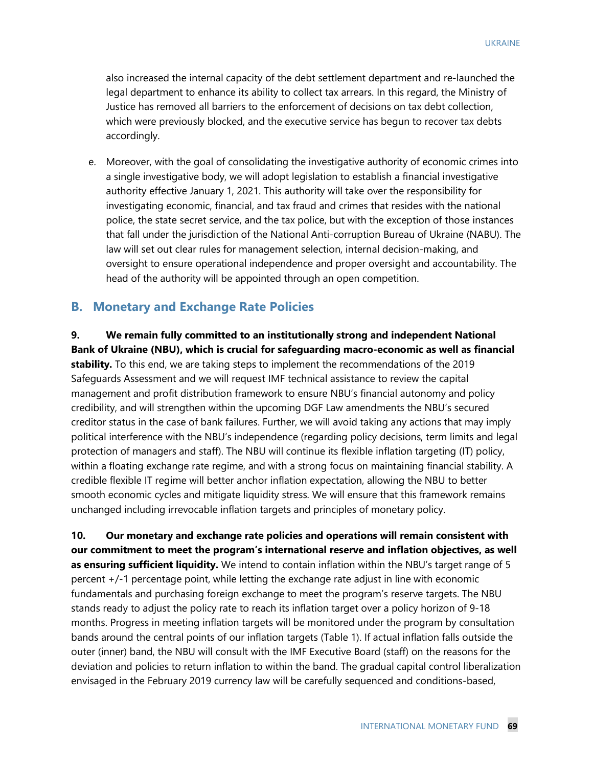also increased the internal capacity of the debt settlement department and re-launched the legal department to enhance its ability to collect tax arrears. In this regard, the Ministry of Justice has removed all barriers to the enforcement of decisions on tax debt collection, which were previously blocked, and the executive service has begun to recover tax debts accordingly.

e. Moreover, with the goal of consolidating the investigative authority of economic crimes into a single investigative body, we will adopt legislation to establish a financial investigative authority effective January 1, 2021. This authority will take over the responsibility for investigating economic, financial, and tax fraud and crimes that resides with the national police, the state secret service, and the tax police, but with the exception of those instances that fall under the jurisdiction of the National Anti-corruption Bureau of Ukraine (NABU). The law will set out clear rules for management selection, internal decision-making, and oversight to ensure operational independence and proper oversight and accountability. The head of the authority will be appointed through an open competition.

#### **B. Monetary and Exchange Rate Policies**

**9. We remain fully committed to an institutionally strong and independent National Bank of Ukraine (NBU), which is crucial for safeguarding macro-economic as well as financial stability.** To this end, we are taking steps to implement the recommendations of the 2019 Safeguards Assessment and we will request IMF technical assistance to review the capital management and profit distribution framework to ensure NBU's financial autonomy and policy credibility, and will strengthen within the upcoming DGF Law amendments the NBU's secured creditor status in the case of bank failures. Further, we will avoid taking any actions that may imply political interference with the NBU's independence (regarding policy decisions, term limits and legal protection of managers and staff). The NBU will continue its flexible inflation targeting (IT) policy, within a floating exchange rate regime, and with a strong focus on maintaining financial stability. A credible flexible IT regime will better anchor inflation expectation, allowing the NBU to better smooth economic cycles and mitigate liquidity stress. We will ensure that this framework remains unchanged including irrevocable inflation targets and principles of monetary policy.

**10. Our monetary and exchange rate policies and operations will remain consistent with our commitment to meet the program's international reserve and inflation objectives, as well as ensuring sufficient liquidity.** We intend to contain inflation within the NBU's target range of 5 percent +/-1 percentage point, while letting the exchange rate adjust in line with economic fundamentals and purchasing foreign exchange to meet the program's reserve targets. The NBU stands ready to adjust the policy rate to reach its inflation target over a policy horizon of 9-18 months. Progress in meeting inflation targets will be monitored under the program by consultation bands around the central points of our inflation targets (Table 1). If actual inflation falls outside the outer (inner) band, the NBU will consult with the IMF Executive Board (staff) on the reasons for the deviation and policies to return inflation to within the band. The gradual capital control liberalization envisaged in the February 2019 currency law will be carefully sequenced and conditions-based,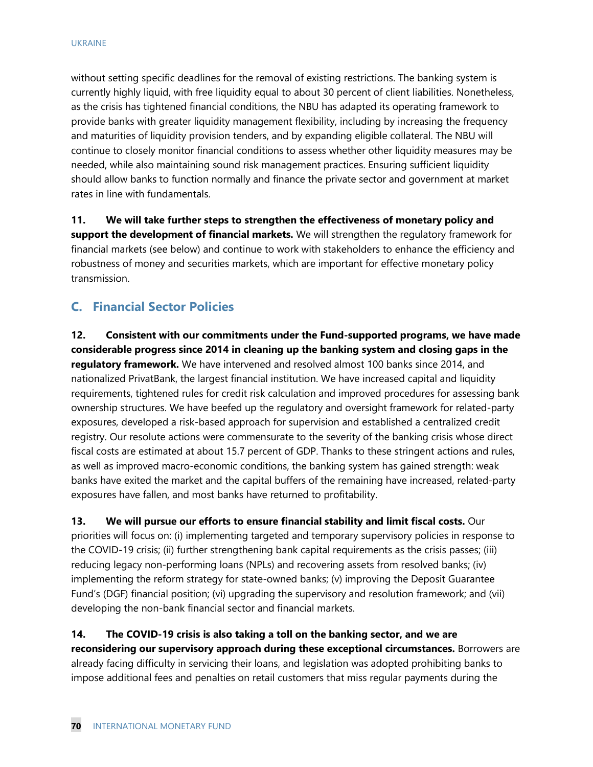without setting specific deadlines for the removal of existing restrictions. The banking system is currently highly liquid, with free liquidity equal to about 30 percent of client liabilities. Nonetheless, as the crisis has tightened financial conditions, the NBU has adapted its operating framework to provide banks with greater liquidity management flexibility, including by increasing the frequency and maturities of liquidity provision tenders, and by expanding eligible collateral. The NBU will continue to closely monitor financial conditions to assess whether other liquidity measures may be needed, while also maintaining sound risk management practices. Ensuring sufficient liquidity should allow banks to function normally and finance the private sector and government at market rates in line with fundamentals.

**11. We will take further steps to strengthen the effectiveness of monetary policy and support the development of financial markets.** We will strengthen the regulatory framework for financial markets (see below) and continue to work with stakeholders to enhance the efficiency and robustness of money and securities markets, which are important for effective monetary policy transmission.

## **C. Financial Sector Policies**

**12. Consistent with our commitments under the Fund-supported programs, we have made considerable progress since 2014 in cleaning up the banking system and closing gaps in the regulatory framework.** We have intervened and resolved almost 100 banks since 2014, and nationalized PrivatBank, the largest financial institution. We have increased capital and liquidity requirements, tightened rules for credit risk calculation and improved procedures for assessing bank ownership structures. We have beefed up the regulatory and oversight framework for related-party exposures, developed a risk-based approach for supervision and established a centralized credit registry. Our resolute actions were commensurate to the severity of the banking crisis whose direct fiscal costs are estimated at about 15.7 percent of GDP. Thanks to these stringent actions and rules, as well as improved macro-economic conditions, the banking system has gained strength: weak banks have exited the market and the capital buffers of the remaining have increased, related-party exposures have fallen, and most banks have returned to profitability.

**13. We will pursue our efforts to ensure financial stability and limit fiscal costs.** Our priorities will focus on: (i) implementing targeted and temporary supervisory policies in response to the COVID-19 crisis; (ii) further strengthening bank capital requirements as the crisis passes; (iii) reducing legacy non-performing loans (NPLs) and recovering assets from resolved banks; (iv) implementing the reform strategy for state-owned banks; (v) improving the Deposit Guarantee Fund's (DGF) financial position; (vi) upgrading the supervisory and resolution framework; and (vii) developing the non-bank financial sector and financial markets.

**14. The COVID-19 crisis is also taking a toll on the banking sector, and we are reconsidering our supervisory approach during these exceptional circumstances.** Borrowers are already facing difficulty in servicing their loans, and legislation was adopted prohibiting banks to impose additional fees and penalties on retail customers that miss regular payments during the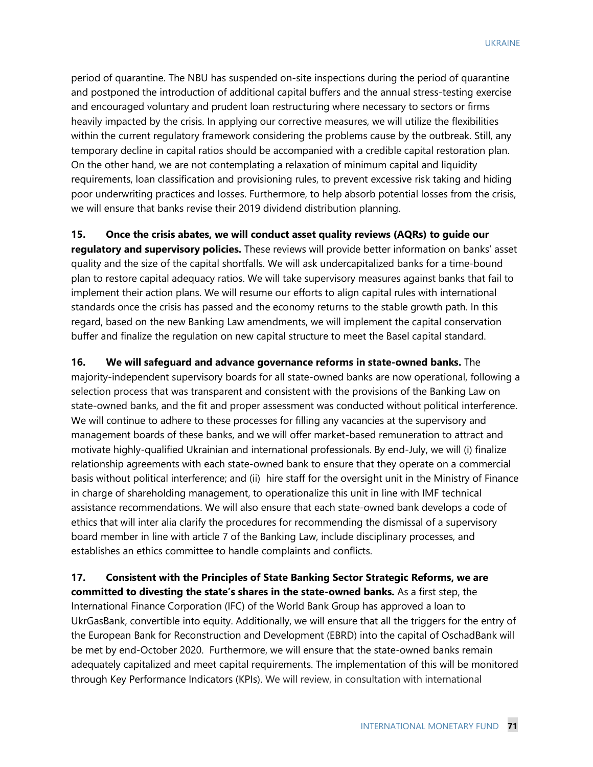period of quarantine. The NBU has suspended on-site inspections during the period of quarantine and postponed the introduction of additional capital buffers and the annual stress-testing exercise and encouraged voluntary and prudent loan restructuring where necessary to sectors or firms heavily impacted by the crisis. In applying our corrective measures, we will utilize the flexibilities within the current regulatory framework considering the problems cause by the outbreak. Still, any temporary decline in capital ratios should be accompanied with a credible capital restoration plan. On the other hand, we are not contemplating a relaxation of minimum capital and liquidity requirements, loan classification and provisioning rules, to prevent excessive risk taking and hiding poor underwriting practices and losses. Furthermore, to help absorb potential losses from the crisis, we will ensure that banks revise their 2019 dividend distribution planning.

**15. Once the crisis abates, we will conduct asset quality reviews (AQRs) to guide our** 

**regulatory and supervisory policies.** These reviews will provide better information on banks' asset quality and the size of the capital shortfalls. We will ask undercapitalized banks for a time-bound plan to restore capital adequacy ratios. We will take supervisory measures against banks that fail to implement their action plans. We will resume our efforts to align capital rules with international standards once the crisis has passed and the economy returns to the stable growth path. In this regard, based on the new Banking Law amendments, we will implement the capital conservation buffer and finalize the regulation on new capital structure to meet the Basel capital standard.

**16. We will safeguard and advance governance reforms in state-owned banks.** The majority-independent supervisory boards for all state-owned banks are now operational, following a selection process that was transparent and consistent with the provisions of the Banking Law on state-owned banks, and the fit and proper assessment was conducted without political interference. We will continue to adhere to these processes for filling any vacancies at the supervisory and management boards of these banks, and we will offer market-based remuneration to attract and motivate highly-qualified Ukrainian and international professionals. By end-July, we will (i) finalize relationship agreements with each state-owned bank to ensure that they operate on a commercial basis without political interference; and (ii) hire staff for the oversight unit in the Ministry of Finance in charge of shareholding management, to operationalize this unit in line with IMF technical assistance recommendations. We will also ensure that each state-owned bank develops a code of ethics that will inter alia clarify the procedures for recommending the dismissal of a supervisory board member in line with article 7 of the Banking Law, include disciplinary processes, and establishes an ethics committee to handle complaints and conflicts.

**17. Consistent with the Principles of State Banking Sector Strategic Reforms, we are committed to divesting the state's shares in the state-owned banks.** As a first step, the International Finance Corporation (IFC) of the World Bank Group has approved a loan to UkrGasBank, convertible into equity. Additionally, we will ensure that all the triggers for the entry of the European Bank for Reconstruction and Development (EBRD) into the capital of OschadBank will be met by end-October 2020. Furthermore, we will ensure that the state-owned banks remain adequately capitalized and meet capital requirements. The implementation of this will be monitored through Key Performance Indicators (KPIs). We will review, in consultation with international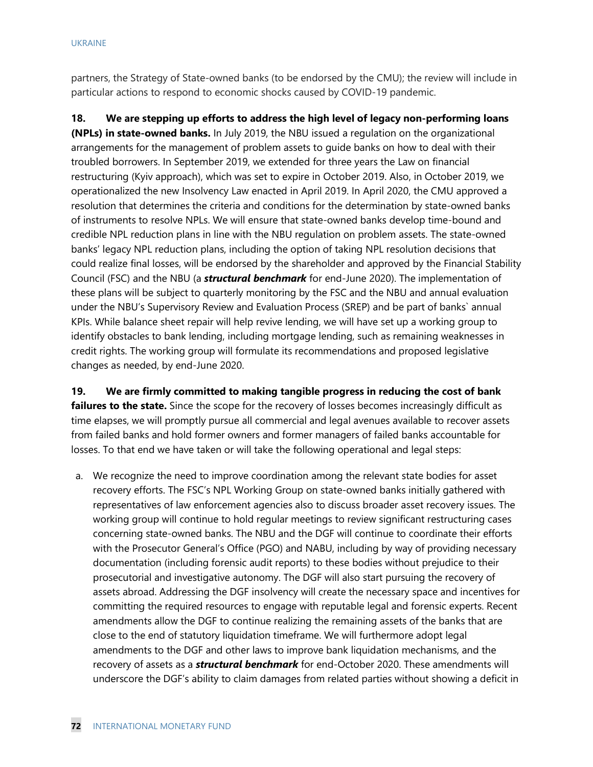partners, the Strategy of State-owned banks (to be endorsed by the CMU); the review will include in particular actions to respond to economic shocks caused by COVID-19 pandemic.

**18. We are stepping up efforts to address the high level of legacy non-performing loans (NPLs) in state-owned banks.** In July 2019, the NBU issued a regulation on the organizational arrangements for the management of problem assets to guide banks on how to deal with their troubled borrowers. In September 2019, we extended for three years the Law on financial restructuring (Kyiv approach), which was set to expire in October 2019. Also, in October 2019, we operationalized the new Insolvency Law enacted in April 2019. In April 2020, the CMU approved a resolution that determines the criteria and conditions for the determination by state-owned banks of instruments to resolve NPLs. We will ensure that state-owned banks develop time-bound and credible NPL reduction plans in line with the NBU regulation on problem assets. The state-owned banks' legacy NPL reduction plans, including the option of taking NPL resolution decisions that could realize final losses, will be endorsed by the shareholder and approved by the Financial Stability Council (FSC) and the NBU (a *structural benchmark* for end-June 2020). The implementation of these plans will be subject to quarterly monitoring by the FSC and the NBU and annual evaluation under the NBU's Supervisory Review and Evaluation Process (SREP) and be part of banks` annual KPIs. While balance sheet repair will help revive lending, we will have set up a working group to identify obstacles to bank lending, including mortgage lending, such as remaining weaknesses in credit rights. The working group will formulate its recommendations and proposed legislative changes as needed, by end-June 2020.

**19. We are firmly committed to making tangible progress in reducing the cost of bank failures to the state.** Since the scope for the recovery of losses becomes increasingly difficult as time elapses, we will promptly pursue all commercial and legal avenues available to recover assets from failed banks and hold former owners and former managers of failed banks accountable for losses. To that end we have taken or will take the following operational and legal steps:

a. We recognize the need to improve coordination among the relevant state bodies for asset recovery efforts. The FSC's NPL Working Group on state-owned banks initially gathered with representatives of law enforcement agencies also to discuss broader asset recovery issues. The working group will continue to hold regular meetings to review significant restructuring cases concerning state-owned banks. The NBU and the DGF will continue to coordinate their efforts with the Prosecutor General's Office (PGO) and NABU, including by way of providing necessary documentation (including forensic audit reports) to these bodies without prejudice to their prosecutorial and investigative autonomy. The DGF will also start pursuing the recovery of assets abroad. Addressing the DGF insolvency will create the necessary space and incentives for committing the required resources to engage with reputable legal and forensic experts. Recent amendments allow the DGF to continue realizing the remaining assets of the banks that are close to the end of statutory liquidation timeframe. We will furthermore adopt legal amendments to the DGF and other laws to improve bank liquidation mechanisms, and the recovery of assets as a *structural benchmark* for end-October 2020. These amendments will underscore the DGF's ability to claim damages from related parties without showing a deficit in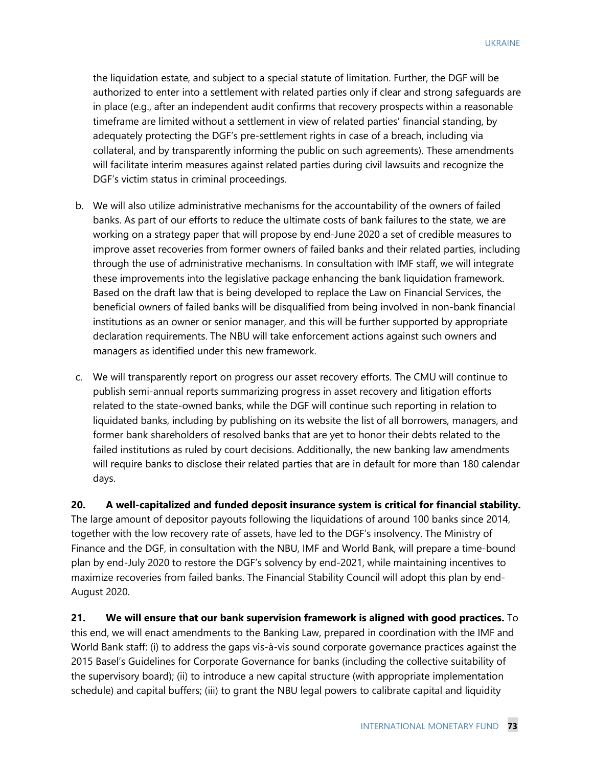the liquidation estate, and subject to a special statute of limitation. Further, the DGF will be authorized to enter into a settlement with related parties only if clear and strong safeguards are in place (e.g., after an independent audit confirms that recovery prospects within a reasonable timeframe are limited without a settlement in view of related parties' financial standing, by adequately protecting the DGF's pre-settlement rights in case of a breach, including via collateral, and by transparently informing the public on such agreements). These amendments will facilitate interim measures against related parties during civil lawsuits and recognize the DGF's victim status in criminal proceedings.

- b. We will also utilize administrative mechanisms for the accountability of the owners of failed banks. As part of our efforts to reduce the ultimate costs of bank failures to the state, we are working on a strategy paper that will propose by end-June 2020 a set of credible measures to improve asset recoveries from former owners of failed banks and their related parties, including through the use of administrative mechanisms. In consultation with IMF staff, we will integrate these improvements into the legislative package enhancing the bank liquidation framework. Based on the draft law that is being developed to replace the Law on Financial Services, the beneficial owners of failed banks will be disqualified from being involved in non-bank financial institutions as an owner or senior manager, and this will be further supported by appropriate declaration requirements. The NBU will take enforcement actions against such owners and managers as identified under this new framework.
- c. We will transparently report on progress our asset recovery efforts. The CMU will continue to publish semi-annual reports summarizing progress in asset recovery and litigation efforts related to the state-owned banks, while the DGF will continue such reporting in relation to liquidated banks, including by publishing on its website the list of all borrowers, managers, and former bank shareholders of resolved banks that are yet to honor their debts related to the failed institutions as ruled by court decisions. Additionally, the new banking law amendments will require banks to disclose their related parties that are in default for more than 180 calendar days.

**20. A well-capitalized and funded deposit insurance system is critical for financial stability.** The large amount of depositor payouts following the liquidations of around 100 banks since 2014, together with the low recovery rate of assets, have led to the DGF's insolvency. The Ministry of Finance and the DGF, in consultation with the NBU, IMF and World Bank, will prepare a time-bound plan by end-July 2020 to restore the DGF's solvency by end-2021, while maintaining incentives to maximize recoveries from failed banks. The Financial Stability Council will adopt this plan by end-August 2020.

**21. We will ensure that our bank supervision framework is aligned with good practices.** To this end, we will enact amendments to the Banking Law, prepared in coordination with the IMF and World Bank staff: (i) to address the gaps vis-à-vis sound corporate governance practices against the 2015 Basel's Guidelines for Corporate Governance for banks (including the collective suitability of the supervisory board); (ii) to introduce a new capital structure (with appropriate implementation schedule) and capital buffers; (iii) to grant the NBU legal powers to calibrate capital and liquidity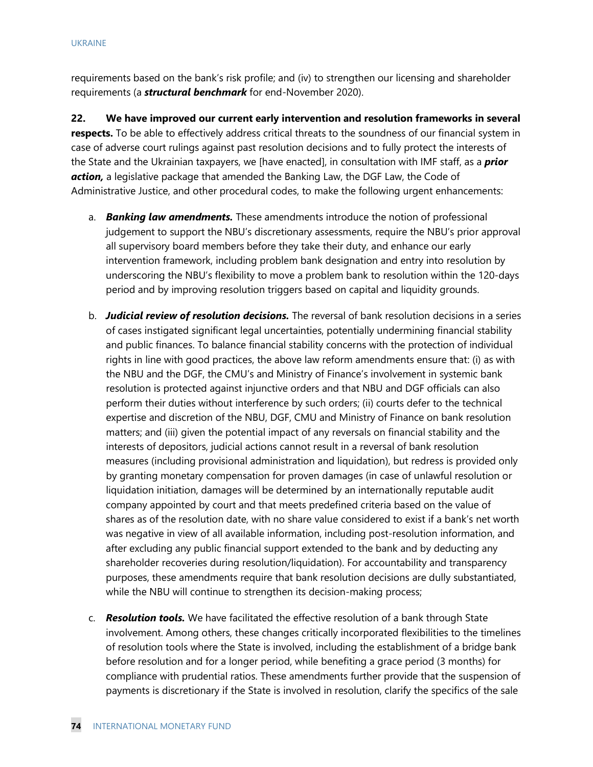requirements based on the bank's risk profile; and (iv) to strengthen our licensing and shareholder requirements (a *structural benchmark* for end-November 2020).

**22. We have improved our current early intervention and resolution frameworks in several respects.** To be able to effectively address critical threats to the soundness of our financial system in case of adverse court rulings against past resolution decisions and to fully protect the interests of the State and the Ukrainian taxpayers, we [have enacted], in consultation with IMF staff, as a *prior action,* a legislative package that amended the Banking Law, the DGF Law, the Code of Administrative Justice, and other procedural codes, to make the following urgent enhancements:

- a. *Banking law amendments.* These amendments introduce the notion of professional judgement to support the NBU's discretionary assessments, require the NBU's prior approval all supervisory board members before they take their duty, and enhance our early intervention framework, including problem bank designation and entry into resolution by underscoring the NBU's flexibility to move a problem bank to resolution within the 120-days period and by improving resolution triggers based on capital and liquidity grounds.
- b. *Judicial review of resolution decisions.* The reversal of bank resolution decisions in a series of cases instigated significant legal uncertainties, potentially undermining financial stability and public finances. To balance financial stability concerns with the protection of individual rights in line with good practices, the above law reform amendments ensure that: (i) as with the NBU and the DGF, the CMU's and Ministry of Finance's involvement in systemic bank resolution is protected against injunctive orders and that NBU and DGF officials can also perform their duties without interference by such orders; (ii) courts defer to the technical expertise and discretion of the NBU, DGF, CMU and Ministry of Finance on bank resolution matters; and (iii) given the potential impact of any reversals on financial stability and the interests of depositors, judicial actions cannot result in a reversal of bank resolution measures (including provisional administration and liquidation), but redress is provided only by granting monetary compensation for proven damages (in case of unlawful resolution or liquidation initiation, damages will be determined by an internationally reputable audit company appointed by court and that meets predefined criteria based on the value of shares as of the resolution date, with no share value considered to exist if a bank's net worth was negative in view of all available information, including post-resolution information, and after excluding any public financial support extended to the bank and by deducting any shareholder recoveries during resolution/liquidation). For accountability and transparency purposes, these amendments require that bank resolution decisions are dully substantiated, while the NBU will continue to strengthen its decision-making process;
- c. *Resolution tools.* We have facilitated the effective resolution of a bank through State involvement. Among others, these changes critically incorporated flexibilities to the timelines of resolution tools where the State is involved, including the establishment of a bridge bank before resolution and for a longer period, while benefiting a grace period (3 months) for compliance with prudential ratios. These amendments further provide that the suspension of payments is discretionary if the State is involved in resolution, clarify the specifics of the sale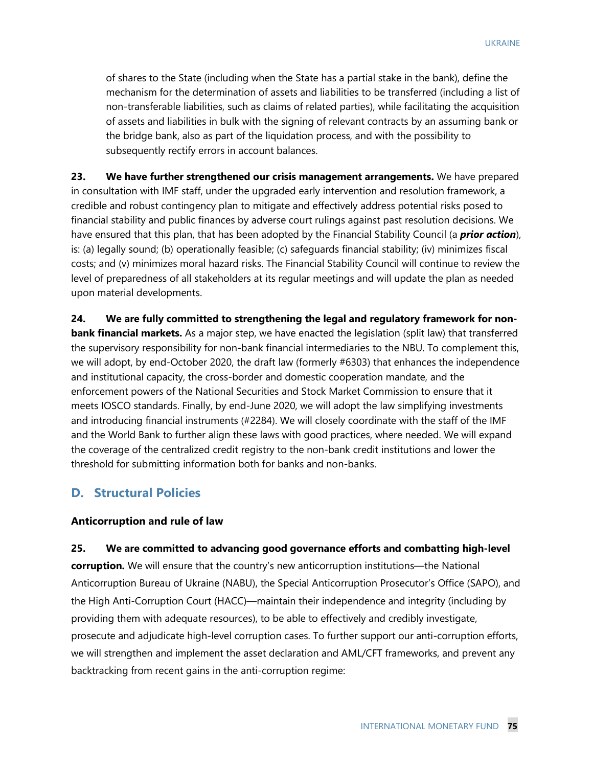of shares to the State (including when the State has a partial stake in the bank), define the mechanism for the determination of assets and liabilities to be transferred (including a list of non-transferable liabilities, such as claims of related parties), while facilitating the acquisition of assets and liabilities in bulk with the signing of relevant contracts by an assuming bank or the bridge bank, also as part of the liquidation process, and with the possibility to subsequently rectify errors in account balances.

**23. We have further strengthened our crisis management arrangements.** We have prepared in consultation with IMF staff, under the upgraded early intervention and resolution framework, a credible and robust contingency plan to mitigate and effectively address potential risks posed to financial stability and public finances by adverse court rulings against past resolution decisions. We have ensured that this plan, that has been adopted by the Financial Stability Council (a *prior action*), is: (a) legally sound; (b) operationally feasible; (c) safeguards financial stability; (iv) minimizes fiscal costs; and (v) minimizes moral hazard risks. The Financial Stability Council will continue to review the level of preparedness of all stakeholders at its regular meetings and will update the plan as needed upon material developments.

**24. We are fully committed to strengthening the legal and regulatory framework for nonbank financial markets.** As a major step, we have enacted the legislation (split law) that transferred the supervisory responsibility for non-bank financial intermediaries to the NBU. To complement this, we will adopt, by end-October 2020, the draft law (formerly #6303) that enhances the independence and institutional capacity, the cross-border and domestic cooperation mandate, and the enforcement powers of the National Securities and Stock Market Commission to ensure that it meets IOSCO standards. Finally, by end-June 2020, we will adopt the law simplifying investments and introducing financial instruments (#2284). We will closely coordinate with the staff of the IMF and the World Bank to further align these laws with good practices, where needed. We will expand the coverage of the centralized credit registry to the non-bank credit institutions and lower the threshold for submitting information both for banks and non-banks.

## **D. Structural Policies**

### **Anticorruption and rule of law**

**25. We are committed to advancing good governance efforts and combatting high-level** 

**corruption.** We will ensure that the country's new anticorruption institutions—the National Anticorruption Bureau of Ukraine (NABU), the Special Anticorruption Prosecutor's Office (SAPO), and the High Anti-Corruption Court (HACC)—maintain their independence and integrity (including by providing them with adequate resources), to be able to effectively and credibly investigate, prosecute and adjudicate high-level corruption cases. To further support our anti-corruption efforts, we will strengthen and implement the asset declaration and AML/CFT frameworks, and prevent any backtracking from recent gains in the anti-corruption regime: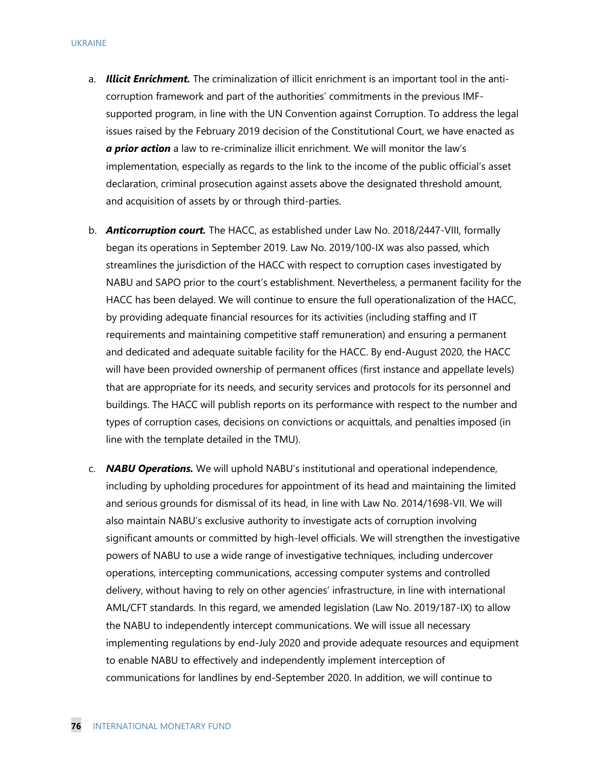- a. *Illicit Enrichment.* The criminalization of illicit enrichment is an important tool in the anticorruption framework and part of the authorities' commitments in the previous IMFsupported program, in line with the UN Convention against Corruption. To address the legal issues raised by the February 2019 decision of the Constitutional Court, we have enacted as *a prior action* a law to re-criminalize illicit enrichment. We will monitor the law's implementation, especially as regards to the link to the income of the public official's asset declaration, criminal prosecution against assets above the designated threshold amount, and acquisition of assets by or through third-parties.
- b. *Anticorruption court.* The HACC, as established under Law No. 2018/2447-VIII, formally began its operations in September 2019. Law No. 2019/100-IX was also passed, which streamlines the jurisdiction of the HACC with respect to corruption cases investigated by NABU and SAPO prior to the court's establishment. Nevertheless, a permanent facility for the HACC has been delayed. We will continue to ensure the full operationalization of the HACC, by providing adequate financial resources for its activities (including staffing and IT requirements and maintaining competitive staff remuneration) and ensuring a permanent and dedicated and adequate suitable facility for the HACC. By end-August 2020, the HACC will have been provided ownership of permanent offices (first instance and appellate levels) that are appropriate for its needs, and security services and protocols for its personnel and buildings. The HACC will publish reports on its performance with respect to the number and types of corruption cases, decisions on convictions or acquittals, and penalties imposed (in line with the template detailed in the TMU).
- c. *NABU Operations.* We will uphold NABU's institutional and operational independence, including by upholding procedures for appointment of its head and maintaining the limited and serious grounds for dismissal of its head, in line with Law No. 2014/1698-VII. We will also maintain NABU's exclusive authority to investigate acts of corruption involving significant amounts or committed by high-level officials. We will strengthen the investigative powers of NABU to use a wide range of investigative techniques, including undercover operations, intercepting communications, accessing computer systems and controlled delivery, without having to rely on other agencies' infrastructure, in line with international AML/CFT standards. In this regard, we amended legislation (Law No. 2019/187-IX) to allow the NABU to independently intercept communications. We will issue all necessary implementing regulations by end-July 2020 and provide adequate resources and equipment to enable NABU to effectively and independently implement interception of communications for landlines by end-September 2020. In addition, we will continue to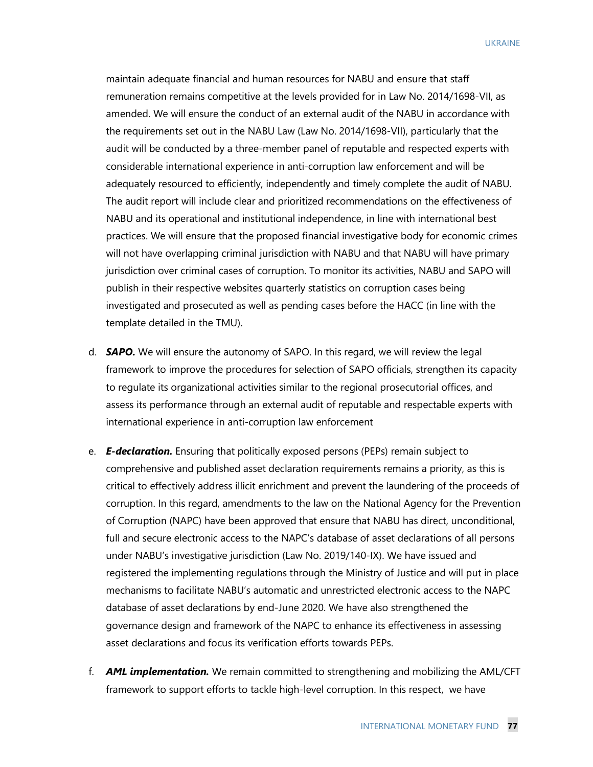UKRAINE

maintain adequate financial and human resources for NABU and ensure that staff remuneration remains competitive at the levels provided for in Law No. 2014/1698-VII, as amended. We will ensure the conduct of an external audit of the NABU in accordance with the requirements set out in the NABU Law (Law No. 2014/1698-VII), particularly that the audit will be conducted by a three-member panel of reputable and respected experts with considerable international experience in anti-corruption law enforcement and will be adequately resourced to efficiently, independently and timely complete the audit of NABU. The audit report will include clear and prioritized recommendations on the effectiveness of NABU and its operational and institutional independence, in line with international best practices. We will ensure that the proposed financial investigative body for economic crimes will not have overlapping criminal jurisdiction with NABU and that NABU will have primary jurisdiction over criminal cases of corruption. To monitor its activities, NABU and SAPO will publish in their respective websites quarterly statistics on corruption cases being investigated and prosecuted as well as pending cases before the HACC (in line with the template detailed in the TMU).

- d. *SAPO.* We will ensure the autonomy of SAPO. In this regard, we will review the legal framework to improve the procedures for selection of SAPO officials, strengthen its capacity to regulate its organizational activities similar to the regional prosecutorial offices, and assess its performance through an external audit of reputable and respectable experts with international experience in anti-corruption law enforcement
- e. *E-declaration.* Ensuring that politically exposed persons (PEPs) remain subject to comprehensive and published asset declaration requirements remains a priority, as this is critical to effectively address illicit enrichment and prevent the laundering of the proceeds of corruption. In this regard, amendments to the law on the National Agency for the Prevention of Corruption (NAPC) have been approved that ensure that NABU has direct, unconditional, full and secure electronic access to the NAPC's database of asset declarations of all persons under NABU's investigative jurisdiction (Law No. 2019/140-IX). We have issued and registered the implementing regulations through the Ministry of Justice and will put in place mechanisms to facilitate NABU's automatic and unrestricted electronic access to the NAPC database of asset declarations by end-June 2020. We have also strengthened the governance design and framework of the NAPC to enhance its effectiveness in assessing asset declarations and focus its verification efforts towards PEPs.
- f. *AML implementation.* We remain committed to strengthening and mobilizing the AML/CFT framework to support efforts to tackle high-level corruption. In this respect, we have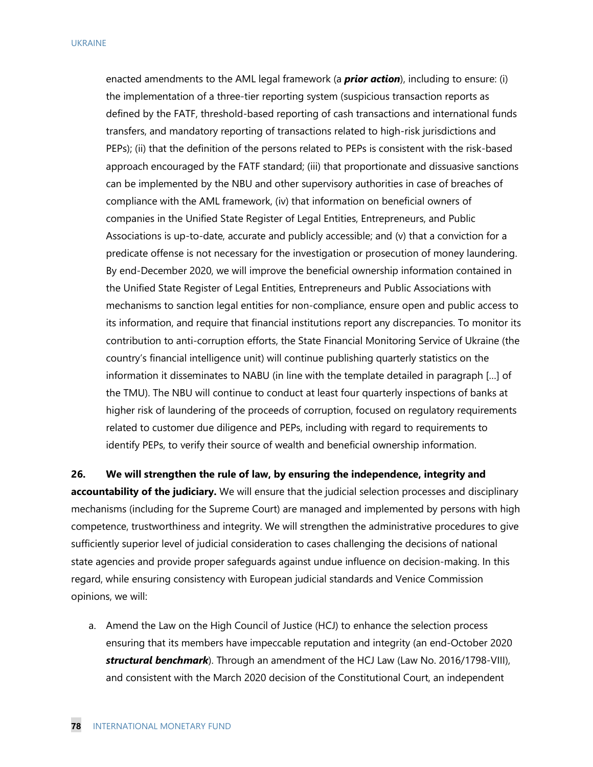enacted amendments to the AML legal framework (a *prior action*), including to ensure: (i) the implementation of a three-tier reporting system (suspicious transaction reports as defined by the FATF, threshold-based reporting of cash transactions and international funds transfers, and mandatory reporting of transactions related to high-risk jurisdictions and PEPs); (ii) that the definition of the persons related to PEPs is consistent with the risk-based approach encouraged by the FATF standard; (iii) that proportionate and dissuasive sanctions can be implemented by the NBU and other supervisory authorities in case of breaches of compliance with the AML framework, (iv) that information on beneficial owners of companies in the Unified State Register of Legal Entities, Entrepreneurs, and Public Associations is up-to-date, accurate and publicly accessible; and (v) that a conviction for a predicate offense is not necessary for the investigation or prosecution of money laundering. By end-December 2020, we will improve the beneficial ownership information contained in the Unified State Register of Legal Entities, Entrepreneurs and Public Associations with mechanisms to sanction legal entities for non-compliance, ensure open and public access to its information, and require that financial institutions report any discrepancies. To monitor its contribution to anti-corruption efforts, the State Financial Monitoring Service of Ukraine (the country's financial intelligence unit) will continue publishing quarterly statistics on the information it disseminates to NABU (in line with the template detailed in paragraph […] of the TMU). The NBU will continue to conduct at least four quarterly inspections of banks at higher risk of laundering of the proceeds of corruption, focused on regulatory requirements related to customer due diligence and PEPs, including with regard to requirements to identify PEPs, to verify their source of wealth and beneficial ownership information.

**26. We will strengthen the rule of law, by ensuring the independence, integrity and accountability of the judiciary.** We will ensure that the judicial selection processes and disciplinary mechanisms (including for the Supreme Court) are managed and implemented by persons with high competence, trustworthiness and integrity. We will strengthen the administrative procedures to give sufficiently superior level of judicial consideration to cases challenging the decisions of national state agencies and provide proper safeguards against undue influence on decision-making. In this regard, while ensuring consistency with European judicial standards and Venice Commission opinions, we will:

a. Amend the Law on the High Council of Justice (HCJ) to enhance the selection process ensuring that its members have impeccable reputation and integrity (an end-October 2020 *structural benchmark*). Through an amendment of the HCJ Law (Law No. 2016/1798-VIII), and consistent with the March 2020 decision of the Constitutional Court, an independent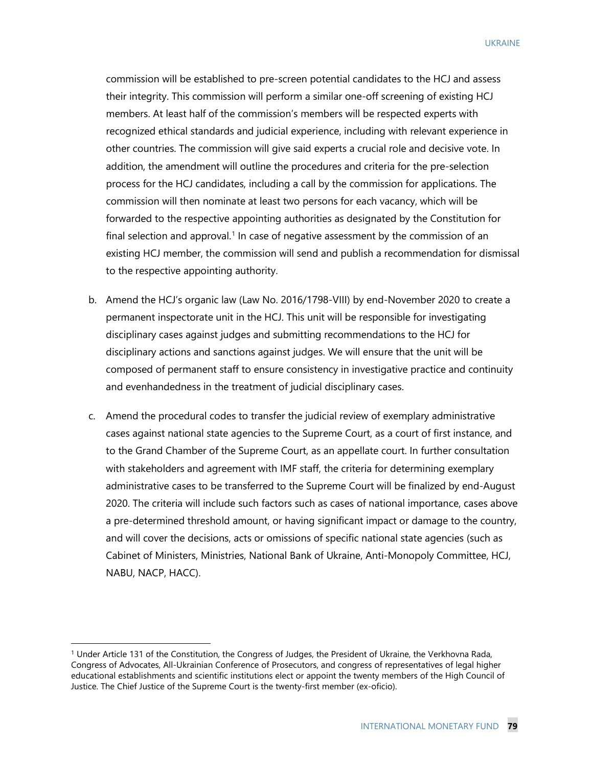UKRAINE

commission will be established to pre-screen potential candidates to the HCJ and assess their integrity. This commission will perform a similar one-off screening of existing HCJ members. At least half of the commission's members will be respected experts with recognized ethical standards and judicial experience, including with relevant experience in other countries. The commission will give said experts a crucial role and decisive vote. In addition, the amendment will outline the procedures and criteria for the pre-selection process for the HCJ candidates, including a call by the commission for applications. The commission will then nominate at least two persons for each vacancy, which will be forwarded to the respective appointing authorities as designated by the Constitution for final selection and approval.<sup>[1](#page-19-0)</sup> In case of negative assessment by the commission of an existing HCJ member, the commission will send and publish a recommendation for dismissal to the respective appointing authority.

- b. Amend the HCJ's organic law (Law No. 2016/1798-VIII) by end-November 2020 to create a permanent inspectorate unit in the HCJ. This unit will be responsible for investigating disciplinary cases against judges and submitting recommendations to the HCJ for disciplinary actions and sanctions against judges. We will ensure that the unit will be composed of permanent staff to ensure consistency in investigative practice and continuity and evenhandedness in the treatment of judicial disciplinary cases.
- c. Amend the procedural codes to transfer the judicial review of exemplary administrative cases against national state agencies to the Supreme Court, as a court of first instance, and to the Grand Chamber of the Supreme Court, as an appellate court. In further consultation with stakeholders and agreement with IMF staff, the criteria for determining exemplary administrative cases to be transferred to the Supreme Court will be finalized by end-August 2020. The criteria will include such factors such as cases of national importance, cases above a pre-determined threshold amount, or having significant impact or damage to the country, and will cover the decisions, acts or omissions of specific national state agencies (such as Cabinet of Ministers, Ministries, National Bank of Ukraine, Anti-Monopoly Committee, HCJ, NABU, NACP, HACC).

<span id="page-19-0"></span><sup>1</sup> Under Article 131 of the Constitution, the Congress of Judges, the President of Ukraine, the Verkhovna Rada, Congress of Advocates, All-Ukrainian Conference of Prosecutors, and congress of representatives of legal higher educational establishments and scientific institutions elect or appoint the twenty members of the High Council of Justice. The Chief Justice of the Supreme Court is the twenty-first member (ex-oficio).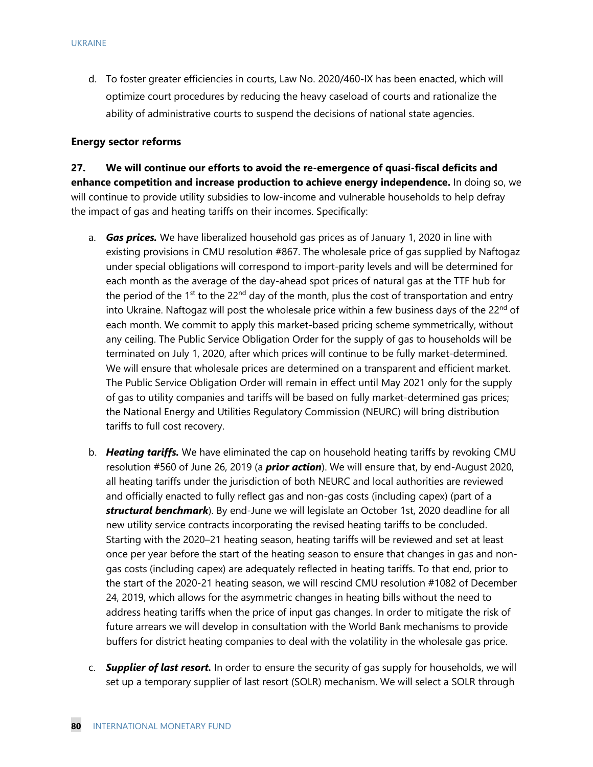d. To foster greater efficiencies in courts, Law No. 2020/460-IX has been enacted, which will optimize court procedures by reducing the heavy caseload of courts and rationalize the ability of administrative courts to suspend the decisions of national state agencies.

#### **Energy sector reforms**

**27. We will continue our efforts to avoid the re-emergence of quasi-fiscal deficits and enhance competition and increase production to achieve energy independence.** In doing so, we will continue to provide utility subsidies to low-income and vulnerable households to help defray the impact of gas and heating tariffs on their incomes. Specifically:

- a. *Gas prices.* We have liberalized household gas prices as of January 1, 2020 in line with existing provisions in CMU resolution #867. The wholesale price of gas supplied by Naftogaz under special obligations will correspond to import-parity levels and will be determined for each month as the average of the day-ahead spot prices of natural gas at the TTF hub for the period of the 1<sup>st</sup> to the 22<sup>nd</sup> day of the month, plus the cost of transportation and entry into Ukraine. Naftogaz will post the wholesale price within a few business days of the  $22<sup>nd</sup>$  of each month. We commit to apply this market-based pricing scheme symmetrically, without any ceiling. The Public Service Obligation Order for the supply of gas to households will be terminated on July 1, 2020, after which prices will continue to be fully market-determined. We will ensure that wholesale prices are determined on a transparent and efficient market. The Public Service Obligation Order will remain in effect until May 2021 only for the supply of gas to utility companies and tariffs will be based on fully market-determined gas prices; the National Energy and Utilities Regulatory Commission (NEURC) will bring distribution tariffs to full cost recovery.
- b. *Heating tariffs.* We have eliminated the cap on household heating tariffs by revoking CMU resolution #560 of June 26, 2019 (a *prior action*). We will ensure that, by end-August 2020, all heating tariffs under the jurisdiction of both NEURC and local authorities are reviewed and officially enacted to fully reflect gas and non-gas costs (including capex) (part of a *structural benchmark*). By end-June we will legislate an October 1st, 2020 deadline for all new utility service contracts incorporating the revised heating tariffs to be concluded. Starting with the 2020–21 heating season, heating tariffs will be reviewed and set at least once per year before the start of the heating season to ensure that changes in gas and nongas costs (including capex) are adequately reflected in heating tariffs. To that end, prior to the start of the 2020-21 heating season, we will rescind CMU resolution #1082 of December 24, 2019, which allows for the asymmetric changes in heating bills without the need to address heating tariffs when the price of input gas changes. In order to mitigate the risk of future arrears we will develop in consultation with the World Bank mechanisms to provide buffers for district heating companies to deal with the volatility in the wholesale gas price.
- c. *Supplier of last resort.* In order to ensure the security of gas supply for households, we will set up a temporary supplier of last resort (SOLR) mechanism. We will select a SOLR through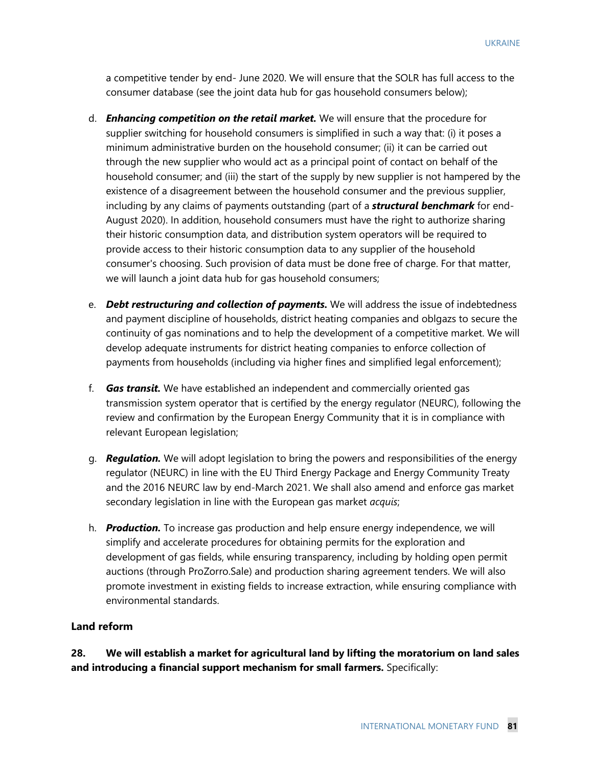a competitive tender by end- June 2020. We will ensure that the SOLR has full access to the consumer database (see the joint data hub for gas household consumers below);

- d. *Enhancing competition on the retail market.* We will ensure that the procedure for supplier switching for household consumers is simplified in such a way that: (i) it poses a minimum administrative burden on the household consumer; (ii) it can be carried out through the new supplier who would act as a principal point of contact on behalf of the household consumer; and (iii) the start of the supply by new supplier is not hampered by the existence of a disagreement between the household consumer and the previous supplier, including by any claims of payments outstanding (part of a *structural benchmark* for end-August 2020). In addition, household consumers must have the right to authorize sharing their historic consumption data, and distribution system operators will be required to provide access to their historic consumption data to any supplier of the household consumer's choosing. Such provision of data must be done free of charge. For that matter, we will launch a joint data hub for gas household consumers;
- e. *Debt restructuring and collection of payments.* We will address the issue of indebtedness and payment discipline of households, district heating companies and oblgazs to secure the continuity of gas nominations and to help the development of a competitive market. We will develop adequate instruments for district heating companies to enforce collection of payments from households (including via higher fines and simplified legal enforcement);
- f. *Gas transit.* We have established an independent and commercially oriented gas transmission system operator that is certified by the energy regulator (NEURC), following the review and confirmation by the European Energy Community that it is in compliance with relevant European legislation;
- g. *Regulation.* We will adopt legislation to bring the powers and responsibilities of the energy regulator (NEURC) in line with the EU Third Energy Package and Energy Community Treaty and the 2016 NEURC law by end-March 2021. We shall also amend and enforce gas market secondary legislation in line with the European gas market *acquis*;
- h. *Production.* To increase gas production and help ensure energy independence, we will simplify and accelerate procedures for obtaining permits for the exploration and development of gas fields, while ensuring transparency, including by holding open permit auctions (through ProZorro.Sale) and production sharing agreement tenders. We will also promote investment in existing fields to increase extraction, while ensuring compliance with environmental standards.

#### **Land reform**

**28. We will establish a market for agricultural land by lifting the moratorium on land sales and introducing a financial support mechanism for small farmers.** Specifically: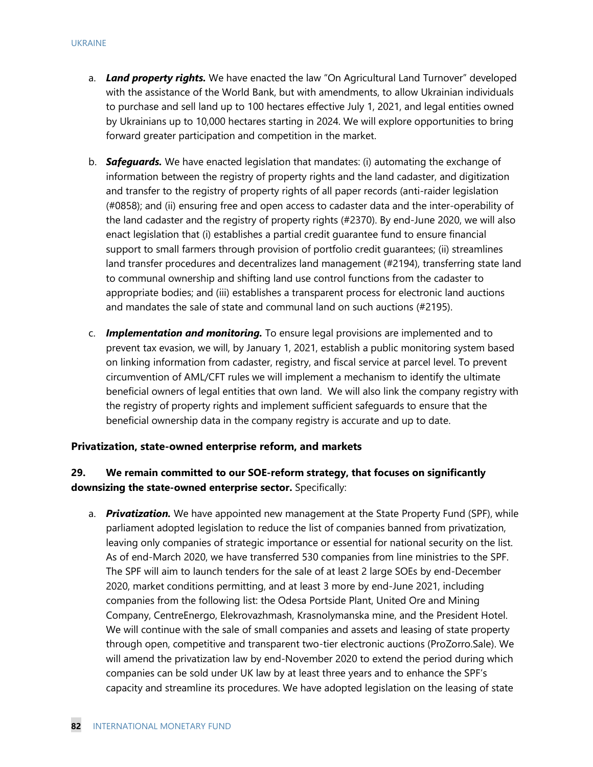- a. *Land property rights.* We have enacted the law "On Agricultural Land Turnover" developed with the assistance of the World Bank, but with amendments, to allow Ukrainian individuals to purchase and sell land up to 100 hectares effective July 1, 2021, and legal entities owned by Ukrainians up to 10,000 hectares starting in 2024. We will explore opportunities to bring forward greater participation and competition in the market.
- b. *Safeguards.* We have enacted legislation that mandates: (i) automating the exchange of information between the registry of property rights and the land cadaster, and digitization and transfer to the registry of property rights of all paper records (anti-raider legislation (#0858); and (ii) ensuring free and open access to cadaster data and the inter-operability of the land cadaster and the registry of property rights (#2370). By end-June 2020, we will also enact legislation that (i) establishes a partial credit guarantee fund to ensure financial support to small farmers through provision of portfolio credit guarantees; (ii) streamlines land transfer procedures and decentralizes land management (#2194), transferring state land to communal ownership and shifting land use control functions from the cadaster to appropriate bodies; and (iii) establishes a transparent process for electronic land auctions and mandates the sale of state and communal land on such auctions (#2195).
- c. *Implementation and monitoring.* To ensure legal provisions are implemented and to prevent tax evasion, we will, by January 1, 2021, establish a public monitoring system based on linking information from cadaster, registry, and fiscal service at parcel level. To prevent circumvention of AML/CFT rules we will implement a mechanism to identify the ultimate beneficial owners of legal entities that own land. We will also link the company registry with the registry of property rights and implement sufficient safeguards to ensure that the beneficial ownership data in the company registry is accurate and up to date.

#### **Privatization, state-owned enterprise reform, and markets**

## **29. We remain committed to our SOE-reform strategy, that focuses on significantly downsizing the state-owned enterprise sector.** Specifically:

a. *Privatization.* We have appointed new management at the State Property Fund (SPF), while parliament adopted legislation to reduce the list of companies banned from privatization, leaving only companies of strategic importance or essential for national security on the list. As of end-March 2020, we have transferred 530 companies from line ministries to the SPF. The SPF will aim to launch tenders for the sale of at least 2 large SOEs by end-December 2020, market conditions permitting, and at least 3 more by end-June 2021, including companies from the following list: the Odesa Portside Plant, United Ore and Mining Company, CentreEnergo, Elekrovazhmash, Krasnolymanska mine, and the President Hotel. We will continue with the sale of small companies and assets and leasing of state property through open, competitive and transparent two-tier electronic auctions (ProZorro.Sale). We will amend the privatization law by end-November 2020 to extend the period during which companies can be sold under UK law by at least three years and to enhance the SPF's capacity and streamline its procedures. We have adopted legislation on the leasing of state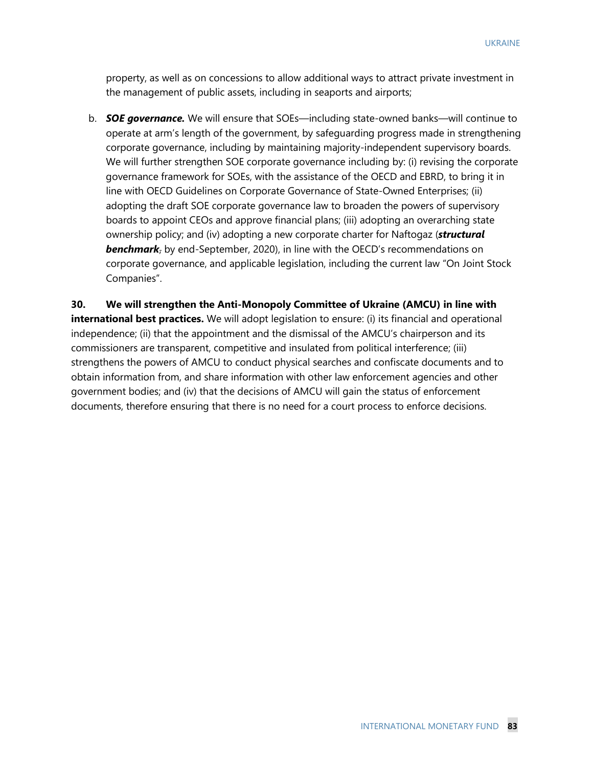property, as well as on concessions to allow additional ways to attract private investment in the management of public assets, including in seaports and airports;

b. *SOE governance.* We will ensure that SOEs—including state-owned banks—will continue to operate at arm's length of the government, by safeguarding progress made in strengthening corporate governance, including by maintaining majority-independent supervisory boards. We will further strengthen SOE corporate governance including by: (i) revising the corporate governance framework for SOEs, with the assistance of the OECD and EBRD, to bring it in line with OECD Guidelines on Corporate Governance of State-Owned Enterprises; (ii) adopting the draft SOE corporate governance law to broaden the powers of supervisory boards to appoint CEOs and approve financial plans; (iii) adopting an overarching state ownership policy; and (iv) adopting a new corporate charter for Naftogaz (*structural*  **benchmark**<sub>7</sub> by end-September, 2020), in line with the OECD's recommendations on corporate governance, and applicable legislation, including the current law "On Joint Stock Companies".

**30. We will strengthen the Anti-Monopoly Committee of Ukraine (AMCU) in line with international best practices.** We will adopt legislation to ensure: (i) its financial and operational independence; (ii) that the appointment and the dismissal of the AMCU's chairperson and its commissioners are transparent, competitive and insulated from political interference; (iii) strengthens the powers of AMCU to conduct physical searches and confiscate documents and to obtain information from, and share information with other law enforcement agencies and other government bodies; and (iv) that the decisions of AMCU will gain the status of enforcement documents, therefore ensuring that there is no need for a court process to enforce decisions.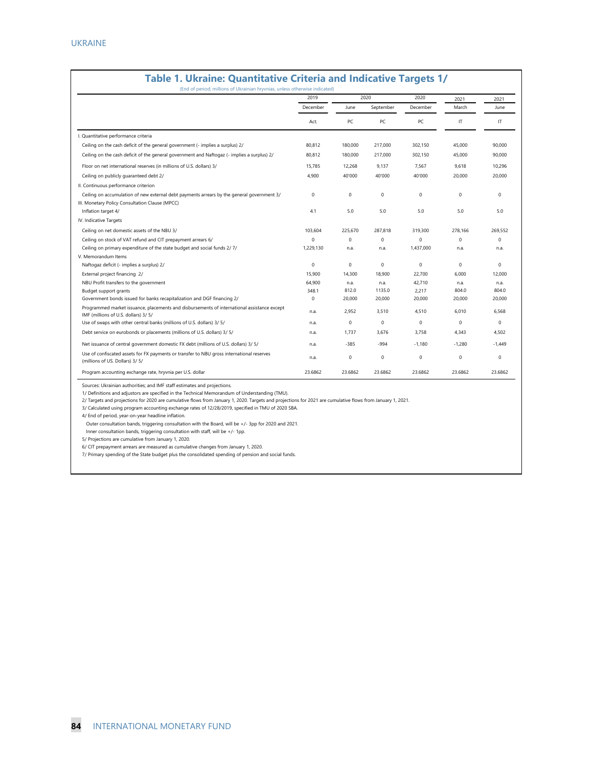|                                                                                                                                               | 2019        |             | 2020        |             | 2021         | 2021        |
|-----------------------------------------------------------------------------------------------------------------------------------------------|-------------|-------------|-------------|-------------|--------------|-------------|
|                                                                                                                                               | December    | June        | September   | December    | March        | June        |
|                                                                                                                                               | Act.        | PC          | PC          | PC          | IT           | IT          |
| I. Quantitative performance criteria                                                                                                          |             |             |             |             |              |             |
| Ceiling on the cash deficit of the general government (- implies a surplus) 2/                                                                | 80,812      | 180,000     | 217,000     | 302,150     | 45,000       | 90,000      |
| Ceiling on the cash deficit of the general government and Naftogaz (- implies a surplus) 2/                                                   | 80,812      | 180,000     | 217,000     | 302,150     | 45,000       | 90,000      |
| Floor on net international reserves (in millions of U.S. dollars) 3/                                                                          | 15.785      | 12,268      | 9.137       | 7.567       | 9.618        | 10,296      |
| Ceiling on publicly guaranteed debt 2/                                                                                                        | 4,900       | 40'000      | 40'000      | 40'000      | 20,000       | 20,000      |
| II. Continuous performance criterion                                                                                                          |             |             |             |             |              |             |
| Ceiling on accumulation of new external debt payments arrears by the general government 3/<br>III. Monetary Policy Consultation Clause (MPCC) | 0           | $\mathbf 0$ | $\mathbf 0$ | 0           | $\mathbf 0$  | $\mathbf 0$ |
| Inflation target 4/                                                                                                                           | 4.1         | 5.0         | 5.0         | 5.0         | 5.0          | 5.0         |
| IV. Indicative Targets                                                                                                                        |             |             |             |             |              |             |
| Ceiling on net domestic assets of the NBU 3/                                                                                                  | 103,604     | 225,670     | 287,818     | 319,300     | 278,166      | 269,552     |
| Ceiling on stock of VAT refund and CIT prepayment arrears 6/                                                                                  | $\mathbf 0$ | $\mathbf 0$ | $\mathbf 0$ | $\mathbf 0$ | $\mathbf{0}$ | $\Omega$    |
| Ceiling on primary expenditure of the state budget and social funds 2/7/                                                                      | 1,229,130   | n.a.        | n.a.        | 1,437,000   | n.a.         | n.a.        |
| V. Memorandum Items                                                                                                                           |             |             |             |             |              |             |
| Naftogaz deficit (- implies a surplus) 2/                                                                                                     | $\mathbf 0$ | $\mathbf 0$ | $\mathbf 0$ | $\mathbf 0$ | $\mathbf 0$  | $\mathbf 0$ |
| External project financing 2/                                                                                                                 | 15,900      | 14,300      | 18,900      | 22,700      | 6.000        | 12,000      |
| NBU Profit transfers to the government                                                                                                        | 64,900      | n.a.        | n.a.        | 42,710      | n.a.         | n.a.        |
| Budget support grants                                                                                                                         | 348.1       | 812.0       | 1135.0      | 2,217       | 804.0        | 804.0       |
| Government bonds issued for banks recapitalization and DGF financing 2/                                                                       | $\mathbf 0$ | 20,000      | 20,000      | 20,000      | 20,000       | 20,000      |
| Programmed market issuance, placements and disbursements of international assistance except<br>IMF (millions of U.S. dollars) 3/5/            | n.a.        | 2,952       | 3,510       | 4,510       | 6,010        | 6,568       |
| Use of swaps with other central banks (millions of U.S. dollars) 3/ 5/                                                                        | n.a.        | 0           | $\Omega$    | 0           | $\Omega$     | $\Omega$    |
| Debt service on eurobonds or placements (millions of U.S. dollars) 3/ 5/                                                                      | n.a.        | 1,737       | 3,676       | 3,758       | 4,343        | 4,502       |
| Net issuance of central government domestic FX debt (millions of U.S. dollars) 3/ 5/                                                          | n.a.        | $-385$      | $-994$      | $-1.180$    | $-1.280$     | $-1.449$    |
| Use of confiscated assets for FX payments or transfer to NBU gross international reserves<br>(millions of US. Dollars) 3/5/                   | n.a.        | 0           | $\mathbf 0$ | 0           | $\mathbf 0$  | 0           |
| Program accounting exchange rate, hryvnia per U.S. dollar                                                                                     | 23.6862     | 23.6862     | 23.6862     | 23.6862     | 23.6862      | 23.6862     |

# **Table 1. Ukraine: Quantitative Criteria and Indicative Targets 1/**

Sources: Ukrainian authorities; and IMF staff estimates and projections.

1/ Definitions and adjustors are specified in the Technical Memorandum of Understanding (TMU).

2/ Targets and projections for 2020 are cumulative flows from January 1, 2020. Targets and projections for 2021 are cumulative flows from January 1, 2021.

3/ Calculated using program accounting exchange rates of 12/28/2019, specified in TMU of 2020 SBA.

4/ End of period, year-on-year headline inflation.

Outer consultation bands, triggering consultation with the Board, will be +/- 3pp for 2020 and 2021.

Inner consultation bands, triggering consultation with staff, will be +/- 1pp.

5/ Projections are cumulative from January 1, 2020.

6/ CIT prepayment arrears are measured as cumulative changes from January 1, 2020.

7/ Primary spending of the State budget plus the consolidated spending of pension and social funds.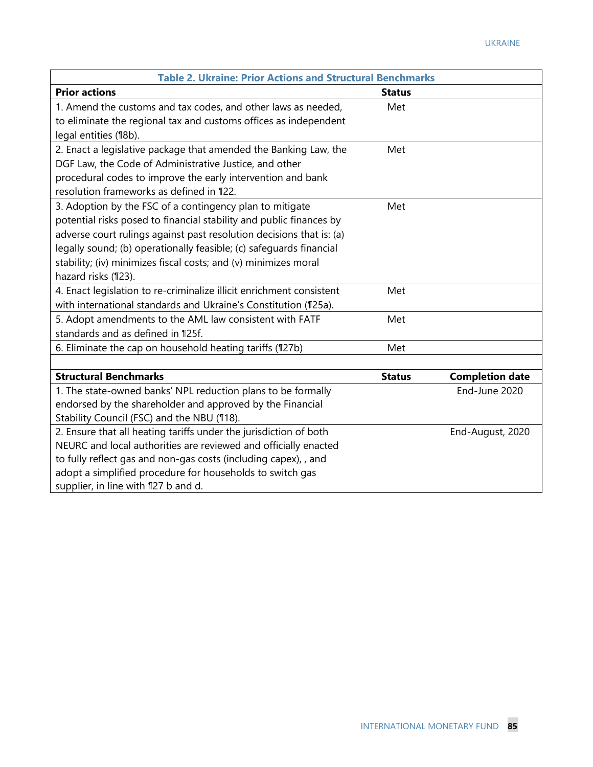| <b>Table 2. Ukraine: Prior Actions and Structural Benchmarks</b>     |               |                        |  |  |  |
|----------------------------------------------------------------------|---------------|------------------------|--|--|--|
| <b>Prior actions</b>                                                 | <b>Status</b> |                        |  |  |  |
| 1. Amend the customs and tax codes, and other laws as needed,        | Met           |                        |  |  |  |
| to eliminate the regional tax and customs offices as independent     |               |                        |  |  |  |
| legal entities (18b).                                                |               |                        |  |  |  |
| 2. Enact a legislative package that amended the Banking Law, the     | Met           |                        |  |  |  |
| DGF Law, the Code of Administrative Justice, and other               |               |                        |  |  |  |
| procedural codes to improve the early intervention and bank          |               |                        |  |  |  |
| resolution frameworks as defined in 122.                             |               |                        |  |  |  |
| 3. Adoption by the FSC of a contingency plan to mitigate             | Met           |                        |  |  |  |
| potential risks posed to financial stability and public finances by  |               |                        |  |  |  |
| adverse court rulings against past resolution decisions that is: (a) |               |                        |  |  |  |
| legally sound; (b) operationally feasible; (c) safeguards financial  |               |                        |  |  |  |
| stability; (iv) minimizes fiscal costs; and (v) minimizes moral      |               |                        |  |  |  |
| hazard risks (123).                                                  |               |                        |  |  |  |
| 4. Enact legislation to re-criminalize illicit enrichment consistent | Met           |                        |  |  |  |
| with international standards and Ukraine's Constitution (125a).      |               |                        |  |  |  |
| 5. Adopt amendments to the AML law consistent with FATF              | Met           |                        |  |  |  |
| standards and as defined in 125f.                                    |               |                        |  |  |  |
| 6. Eliminate the cap on household heating tariffs (127b)             | Met           |                        |  |  |  |
|                                                                      |               |                        |  |  |  |
| <b>Structural Benchmarks</b>                                         | <b>Status</b> | <b>Completion date</b> |  |  |  |
| 1. The state-owned banks' NPL reduction plans to be formally         |               | End-June 2020          |  |  |  |
| endorsed by the shareholder and approved by the Financial            |               |                        |  |  |  |
| Stability Council (FSC) and the NBU (118).                           |               |                        |  |  |  |
| 2. Ensure that all heating tariffs under the jurisdiction of both    |               | End-August, 2020       |  |  |  |
| NEURC and local authorities are reviewed and officially enacted      |               |                        |  |  |  |
| to fully reflect gas and non-gas costs (including capex), , and      |               |                        |  |  |  |
| adopt a simplified procedure for households to switch gas            |               |                        |  |  |  |
| supplier, in line with 127 b and d.                                  |               |                        |  |  |  |